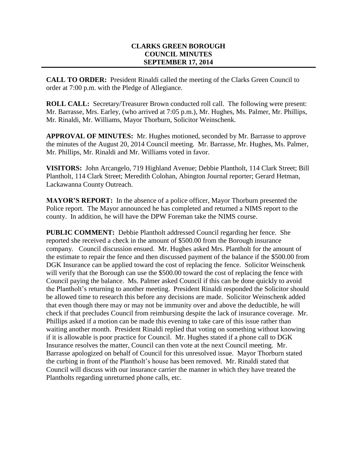## **CLARKS GREEN BOROUGH COUNCIL MINUTES SEPTEMBER 17, 2014**

**CALL TO ORDER:** President Rinaldi called the meeting of the Clarks Green Council to order at 7:00 p.m. with the Pledge of Allegiance.

**ROLL CALL:** Secretary/Treasurer Brown conducted roll call. The following were present: Mr. Barrasse, Mrs. Earley, (who arrived at 7:05 p.m.), Mr. Hughes, Ms. Palmer, Mr. Phillips, Mr. Rinaldi, Mr. Williams, Mayor Thorburn, Solicitor Weinschenk.

**APPROVAL OF MINUTES:** Mr. Hughes motioned, seconded by Mr. Barrasse to approve the minutes of the August 20, 2014 Council meeting. Mr. Barrasse, Mr. Hughes, Ms. Palmer, Mr. Phillips, Mr. Rinaldi and Mr. Williams voted in favor.

**VISITORS:** John Arcangelo, 719 Highland Avenue; Debbie Plantholt, 114 Clark Street; Bill Plantholt, 114 Clark Street; Meredith Colohan, Abington Journal reporter; Gerard Hetman, Lackawanna County Outreach.

**MAYOR'S REPORT:** In the absence of a police officer, Mayor Thorburn presented the Police report. The Mayor announced he has completed and returned a NIMS report to the county. In addition, he will have the DPW Foreman take the NIMS course.

**PUBLIC COMMENT:** Debbie Plantholt addressed Council regarding her fence. She reported she received a check in the amount of \$500.00 from the Borough insurance company. Council discussion ensued. Mr. Hughes asked Mrs. Plantholt for the amount of the estimate to repair the fence and then discussed payment of the balance if the \$500.00 from DGK Insurance can be applied toward the cost of replacing the fence. Solicitor Weinschenk will verify that the Borough can use the \$500.00 toward the cost of replacing the fence with Council paying the balance. Ms. Palmer asked Council if this can be done quickly to avoid the Plantholt's returning to another meeting. President Rinaldi responded the Solicitor should be allowed time to research this before any decisions are made. Solicitor Weinschenk added that even though there may or may not be immunity over and above the deductible, he will check if that precludes Council from reimbursing despite the lack of insurance coverage. Mr. Phillips asked if a motion can be made this evening to take care of this issue rather than waiting another month. President Rinaldi replied that voting on something without knowing if it is allowable is poor practice for Council. Mr. Hughes stated if a phone call to DGK Insurance resolves the matter, Council can then vote at the next Council meeting. Mr. Barrasse apologized on behalf of Council for this unresolved issue. Mayor Thorburn stated the curbing in front of the Plantholt's house has been removed. Mr. Rinaldi stated that Council will discuss with our insurance carrier the manner in which they have treated the Plantholts regarding unreturned phone calls, etc.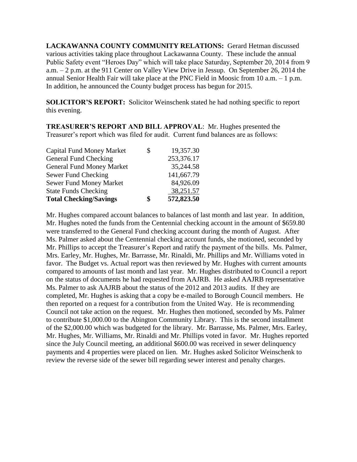**LACKAWANNA COUNTY COMMUNITY RELATIONS:** Gerard Hetman discussed various activities taking place throughout Lackawanna County. These include the annual Public Safety event "Heroes Day" which will take place Saturday, September 20, 2014 from 9 a.m. – 2 p.m. at the 911 Center on Valley View Drive in Jessup. On September 26, 2014 the annual Senior Health Fair will take place at the PNC Field in Moosic from 10 a.m. – 1 p.m. In addition, he announced the County budget process has begun for 2015.

**SOLICITOR'S REPORT:** Solicitor Weinschenk stated he had nothing specific to report this evening.

**TREASURER'S REPORT AND BILL APPROVAL**: Mr. Hughes presented the Treasurer's report which was filed for audit. Current fund balances are as follows:

| <b>Total Checking/Savings</b>    | \$<br>572,823.50 |
|----------------------------------|------------------|
| <b>State Funds Checking</b>      | 38,251.57        |
| <b>Sewer Fund Money Market</b>   | 84,926.09        |
| Sewer Fund Checking              | 141,667.79       |
| <b>General Fund Money Market</b> | 35,244.58        |
| General Fund Checking            | 253,376.17       |
| <b>Capital Fund Money Market</b> | \$<br>19,357.30  |

Mr. Hughes compared account balances to balances of last month and last year. In addition, Mr. Hughes noted the funds from the Centennial checking account in the amount of \$659.80 were transferred to the General Fund checking account during the month of August. After Ms. Palmer asked about the Centennial checking account funds, she motioned, seconded by Mr. Phillips to accept the Treasurer's Report and ratify the payment of the bills. Ms. Palmer, Mrs. Earley, Mr. Hughes, Mr. Barrasse, Mr. Rinaldi, Mr. Phillips and Mr. Williams voted in favor. The Budget vs. Actual report was then reviewed by Mr. Hughes with current amounts compared to amounts of last month and last year. Mr. Hughes distributed to Council a report on the status of documents he had requested from AAJRB. He asked AAJRB representative Ms. Palmer to ask AAJRB about the status of the 2012 and 2013 audits. If they are completed, Mr. Hughes is asking that a copy be e-mailed to Borough Council members. He then reported on a request for a contribution from the United Way. He is recommending Council not take action on the request. Mr. Hughes then motioned, seconded by Ms. Palmer to contribute \$1,000.00 to the Abington Community Library. This is the second installment of the \$2,000.00 which was budgeted for the library. Mr. Barrasse, Ms. Palmer, Mrs. Earley, Mr. Hughes, Mr. Williams, Mr. Rinaldi and Mr. Phillips voted in favor. Mr. Hughes reported since the July Council meeting, an additional \$600.00 was received in sewer delinquency payments and 4 properties were placed on lien. Mr. Hughes asked Solicitor Weinschenk to review the reverse side of the sewer bill regarding sewer interest and penalty charges.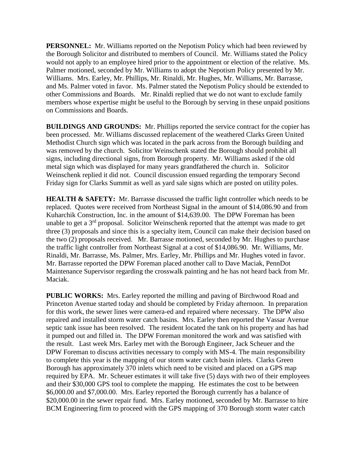**PERSONNEL:** Mr. Williams reported on the Nepotism Policy which had been reviewed by the Borough Solicitor and distributed to members of Council. Mr. Williams stated the Policy would not apply to an employee hired prior to the appointment or election of the relative. Ms. Palmer motioned, seconded by Mr. Williams to adopt the Nepotism Policy presented by Mr. Williams. Mrs. Earley, Mr. Phillips, Mr. Rinaldi, Mr. Hughes, Mr. Williams, Mr. Barrasse, and Ms. Palmer voted in favor. Ms. Palmer stated the Nepotism Policy should be extended to other Commissions and Boards. Mr. Rinaldi replied that we do not want to exclude family members whose expertise might be useful to the Borough by serving in these unpaid positions on Commissions and Boards.

**BUILDINGS AND GROUNDS:** Mr. Phillips reported the service contract for the copier has been processed. Mr. Williams discussed replacement of the weathered Clarks Green United Methodist Church sign which was located in the park across from the Borough building and was removed by the church. Solicitor Weinschenk stated the Borough should prohibit all signs, including directional signs, from Borough property. Mr. Williams asked if the old metal sign which was displayed for many years grandfathered the church in. Solicitor Weinschenk replied it did not. Council discussion ensued regarding the temporary Second Friday sign for Clarks Summit as well as yard sale signs which are posted on utility poles.

**HEALTH & SAFETY:** Mr. Barrasse discussed the traffic light controller which needs to be replaced. Quotes were received from Northeast Signal in the amount of \$14,086.90 and from Kuharchik Construction, Inc. in the amount of \$14,639.00. The DPW Foreman has been unable to get a  $3<sup>rd</sup>$  proposal. Solicitor Weinschenk reported that the attempt was made to get three (3) proposals and since this is a specialty item, Council can make their decision based on the two (2) proposals received. Mr. Barrasse motioned, seconded by Mr. Hughes to purchase the traffic light controller from Northeast Signal at a cost of \$14,086.90. Mr. Williams, Mr. Rinaldi, Mr. Barrasse, Ms. Palmer, Mrs. Earley, Mr. Phillips and Mr. Hughes voted in favor. Mr. Barrasse reported the DPW Foreman placed another call to Dave Maciak, PennDot Maintenance Supervisor regarding the crosswalk painting and he has not heard back from Mr. Maciak.

**PUBLIC WORKS:** Mrs. Earley reported the milling and paving of Birchwood Road and Princeton Avenue started today and should be completed by Friday afternoon. In preparation for this work, the sewer lines were camera-ed and repaired where necessary. The DPW also repaired and installed storm water catch basins. Mrs. Earley then reported the Vassar Avenue septic tank issue has been resolved. The resident located the tank on his property and has had it pumped out and filled in. The DPW Foreman monitored the work and was satisfied with the result. Last week Mrs. Earley met with the Borough Engineer, Jack Scheuer and the DPW Foreman to discuss activities necessary to comply with MS-4. The main responsibility to complete this year is the mapping of our storm water catch basin inlets. Clarks Green Borough has approximately 370 inlets which need to be visited and placed on a GPS map required by EPA. Mr. Scheuer estimates it will take five (5) days with two of their employees and their \$30,000 GPS tool to complete the mapping. He estimates the cost to be between \$6,000.00 and \$7,000.00. Mrs. Earley reported the Borough currently has a balance of \$20,000.00 in the sewer repair fund. Mrs. Earley motioned, seconded by Mr. Barrasse to hire BCM Engineering firm to proceed with the GPS mapping of 370 Borough storm water catch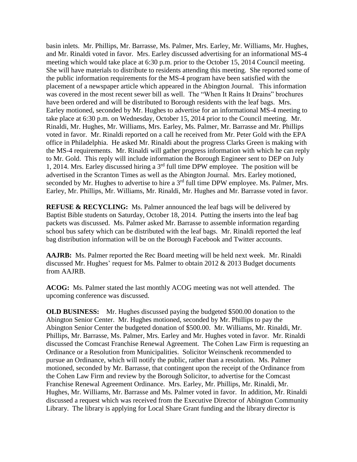basin inlets. Mr. Phillips, Mr. Barrasse, Ms. Palmer, Mrs. Earley, Mr. Williams, Mr. Hughes, and Mr. Rinaldi voted in favor. Mrs. Earley discussed advertising for an informational MS-4 meeting which would take place at 6:30 p.m. prior to the October 15, 2014 Council meeting. She will have materials to distribute to residents attending this meeting. She reported some of the public information requirements for the MS-4 program have been satisfied with the placement of a newspaper article which appeared in the Abington Journal. This information was covered in the most recent sewer bill as well. The "When It Rains It Drains" brochures have been ordered and will be distributed to Borough residents with the leaf bags. Mrs. Earley motioned, seconded by Mr. Hughes to advertise for an informational MS-4 meeting to take place at 6:30 p.m. on Wednesday, October 15, 2014 prior to the Council meeting. Mr. Rinaldi, Mr. Hughes, Mr. Williams, Mrs. Earley, Ms. Palmer, Mr. Barrasse and Mr. Phillips voted in favor. Mr. Rinaldi reported on a call he received from Mr. Peter Gold with the EPA office in Philadelphia. He asked Mr. Rinaldi about the progress Clarks Green is making with the MS-4 requirements. Mr. Rinaldi will gather progress information with which he can reply to Mr. Gold. This reply will include information the Borough Engineer sent to DEP on July 1, 2014. Mrs. Earley discussed hiring a 3rd full time DPW employee. The position will be advertised in the Scranton Times as well as the Abington Journal. Mrs. Earley motioned, seconded by Mr. Hughes to advertise to hire a  $3<sup>rd</sup>$  full time DPW employee. Ms. Palmer, Mrs. Earley, Mr. Phillips, Mr. Williams, Mr. Rinaldi, Mr. Hughes and Mr. Barrasse voted in favor.

**REFUSE & RECYCLING:** Ms. Palmer announced the leaf bags will be delivered by Baptist Bible students on Saturday, October 18, 2014. Putting the inserts into the leaf bag packets was discussed. Ms. Palmer asked Mr. Barrasse to assemble information regarding school bus safety which can be distributed with the leaf bags. Mr. Rinaldi reported the leaf bag distribution information will be on the Borough Facebook and Twitter accounts.

**AAJRB:** Ms. Palmer reported the Rec Board meeting will be held next week. Mr. Rinaldi discussed Mr. Hughes' request for Ms. Palmer to obtain 2012 & 2013 Budget documents from AAJRB.

**ACOG:** Ms. Palmer stated the last monthly ACOG meeting was not well attended. The upcoming conference was discussed.

**OLD BUSINESS:** Mr. Hughes discussed paying the budgeted \$500.00 donation to the Abington Senior Center. Mr. Hughes motioned, seconded by Mr. Phillips to pay the Abington Senior Center the budgeted donation of \$500.00. Mr. Williams, Mr. Rinaldi, Mr. Phillips, Mr. Barrasse, Ms. Palmer, Mrs. Earley and Mr. Hughes voted in favor. Mr. Rinaldi discussed the Comcast Franchise Renewal Agreement. The Cohen Law Firm is requesting an Ordinance or a Resolution from Municipalities. Solicitor Weinschenk recommended to pursue an Ordinance, which will notify the public, rather than a resolution. Ms. Palmer motioned, seconded by Mr. Barrasse, that contingent upon the receipt of the Ordinance from the Cohen Law Firm and review by the Borough Solicitor, to advertise for the Comcast Franchise Renewal Agreement Ordinance. Mrs. Earley, Mr. Phillips, Mr. Rinaldi, Mr. Hughes, Mr. Williams, Mr. Barrasse and Ms. Palmer voted in favor. In addition, Mr. Rinaldi discussed a request which was received from the Executive Director of Abington Community Library. The library is applying for Local Share Grant funding and the library director is